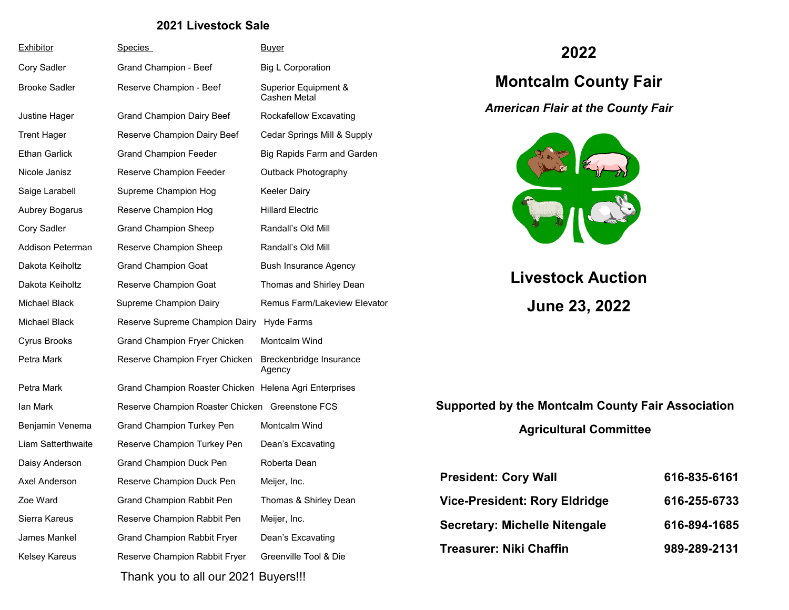#### **2021 Livestock Sale**

| Exhibitor            | Species                                                | <u>Buyer</u>                         |
|----------------------|--------------------------------------------------------|--------------------------------------|
| Cory Sadler          | Grand Champion - Beef                                  | <b>Big L Corporation</b>             |
| <b>Brooke Sadler</b> | Reserve Champion - Beef                                | Superior Equipment &<br>Cashen Metal |
| Justine Hager        | <b>Grand Champion Dairy Beef</b>                       | Rockafellow Excavating               |
| <b>Trent Hager</b>   | Reserve Champion Dairy Beef                            | Cedar Springs Mill & Supply          |
| <b>Ethan Garlick</b> | <b>Grand Champion Feeder</b>                           | Big Rapids Farm and Garden           |
| Nicole Janisz        | Reserve Champion Feeder                                | Outback Photography                  |
| Saige Larabell       | Supreme Champion Hog                                   | Keeler Dairy                         |
| Aubrey Bogarus       | Reserve Champion Hog                                   | <b>Hillard Electric</b>              |
| Cory Sadler          | <b>Grand Champion Sheep</b>                            | Randall's Old Mill                   |
| Addison Peterman     | Reserve Champion Sheep                                 | Randall's Old Mill                   |
| Dakota Keiholtz      | <b>Grand Champion Goat</b>                             | <b>Bush Insurance Agency</b>         |
| Dakota Keiholtz      | Reserve Champion Goat                                  | Thomas and Shirley Dean              |
| <b>Michael Black</b> | Supreme Champion Dairy                                 | Remus Farm/Lakeview Elevator         |
| Michael Black        | Reserve Supreme Champion Dairy Hyde Farms              |                                      |
| Cyrus Brooks         | Grand Champion Fryer Chicken                           | Montcalm Wind                        |
| Petra Mark           | Reserve Champion Fryer Chicken                         | Breckenbridge Insurance<br>Agency    |
| Petra Mark           | Grand Champion Roaster Chicken Helena Agri Enterprises |                                      |
| lan Mark             | Reserve Champion Roaster Chicken Greenstone FCS        |                                      |
| Benjamin Venema      | <b>Grand Champion Turkey Pen</b>                       | Montcalm Wind                        |
| Liam Satterthwaite   | Reserve Champion Turkey Pen                            | Dean's Excavating                    |
| Daisy Anderson       | Grand Champion Duck Pen                                | Roberta Dean                         |
| Axel Anderson        | Reserve Champion Duck Pen                              | Meijer, Inc.                         |
| Zoe Ward             | Grand Champion Rabbit Pen                              | Thomas & Shirley Dean                |
| Sierra Kareus        | Reserve Champion Rabbit Pen                            | Meijer, Inc.                         |
| James Mankel         | <b>Grand Champion Rabbit Fryer</b>                     | Dean's Excavating                    |
| Kelsey Kareus        | Reserve Champion Rabbit Fryer                          | Greenville Tool & Die                |
|                      | Thank you to all our 2021 Buyers!!!                    |                                      |

## **2022**

# **Montcalm County Fair**

*American Flair at the County Fair* 



# **Livestock Auction June 23, 2022**

# **Supported by the Montcalm County Fair Association**

## **Agricultural Committee**

| <b>President: Cory Wall</b>          | 616-835-6161 |
|--------------------------------------|--------------|
| <b>Vice-President: Rory Eldridge</b> | 616-255-6733 |
| <b>Secretary: Michelle Nitengale</b> | 616-894-1685 |
| <b>Treasurer: Niki Chaffin</b>       | 989-289-2131 |